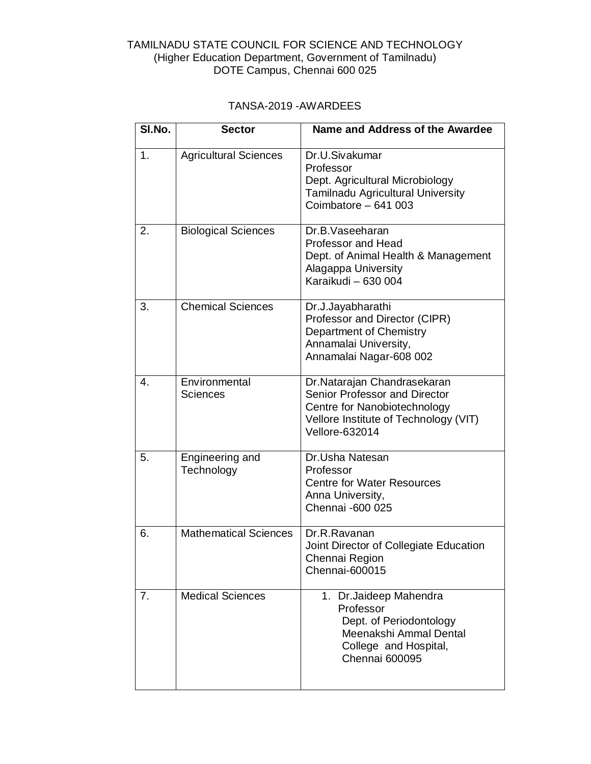## TAMILNADU STATE COUNCIL FOR SCIENCE AND TECHNOLOGY (Higher Education Department, Government of Tamilnadu) DOTE Campus, Chennai 600 025

## TANSA-2019 -AWARDEES

| SI.No. | <b>Sector</b>                    | Name and Address of the Awardee                                                                                                                                |
|--------|----------------------------------|----------------------------------------------------------------------------------------------------------------------------------------------------------------|
| 1.     | <b>Agricultural Sciences</b>     | Dr.U.Sivakumar<br>Professor<br>Dept. Agricultural Microbiology<br>Tamilnadu Agricultural University<br>Coimbatore - 641 003                                    |
| 2.     | <b>Biological Sciences</b>       | Dr.B.Vaseeharan<br>Professor and Head<br>Dept. of Animal Health & Management<br>Alagappa University<br>Karaikudi - 630 004                                     |
| 3.     | <b>Chemical Sciences</b>         | Dr.J.Jayabharathi<br>Professor and Director (CIPR)<br><b>Department of Chemistry</b><br>Annamalai University,<br>Annamalai Nagar-608 002                       |
| 4.     | Environmental<br><b>Sciences</b> | Dr.Natarajan Chandrasekaran<br>Senior Professor and Director<br>Centre for Nanobiotechnology<br>Vellore Institute of Technology (VIT)<br><b>Vellore-632014</b> |
| 5.     | Engineering and<br>Technology    | Dr.Usha Natesan<br>Professor<br><b>Centre for Water Resources</b><br>Anna University,<br>Chennai -600 025                                                      |
| 6.     | <b>Mathematical Sciences</b>     | Dr.R.Ravanan<br>Joint Director of Collegiate Education<br>Chennai Region<br>Chennai-600015                                                                     |
| 7.     | <b>Medical Sciences</b>          | 1. Dr. Jaideep Mahendra<br>Professor<br>Dept. of Periodontology<br>Meenakshi Ammal Dental<br>College and Hospital,<br><b>Chennai 600095</b>                    |